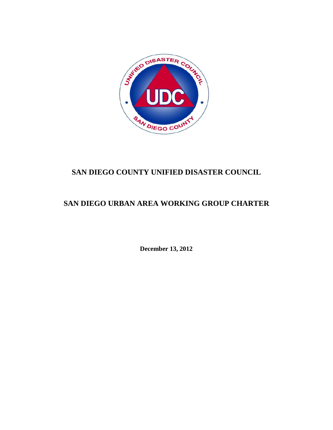

# **SAN DIEGO COUNTY UNIFIED DISASTER COUNCIL**

# **SAN DIEGO URBAN AREA WORKING GROUP CHARTER**

**December 13, 2012**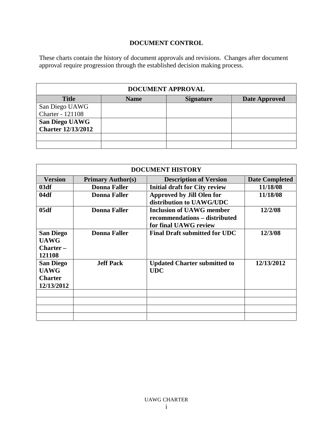## **DOCUMENT CONTROL**

These charts contain the history of document approvals and revisions. Changes after document approval require progression through the established decision making process.

|                           |             | DOCUMENT APPROVAL |               |
|---------------------------|-------------|-------------------|---------------|
| <b>Title</b>              | <b>Name</b> | <b>Signature</b>  | Date Approved |
| San Diego UAWG            |             |                   |               |
| Charter - 121108          |             |                   |               |
| <b>San Diego UAWG</b>     |             |                   |               |
| <b>Charter 12/13/2012</b> |             |                   |               |
|                           |             |                   |               |
|                           |             |                   |               |

|                                                                 |                          | <b>DOCUMENT HISTORY</b>                                                                   |                       |
|-----------------------------------------------------------------|--------------------------|-------------------------------------------------------------------------------------------|-----------------------|
| <b>Version</b>                                                  | <b>Primary Author(s)</b> | <b>Description of Version</b>                                                             | <b>Date Completed</b> |
| 03df                                                            | <b>Donna Faller</b>      | <b>Initial draft for City review</b>                                                      | 11/18/08              |
| 04df                                                            | <b>Donna Faller</b>      | <b>Approved by Jill Olen for</b><br>distribution to UAWG/UDC                              | 11/18/08              |
| 05df                                                            | <b>Donna Faller</b>      | <b>Inclusion of UAWG member</b><br>recommendations - distributed<br>for final UAWG review | 12/2/08               |
| <b>San Diego</b><br><b>UAWG</b><br>$Character -$<br>121108      | <b>Donna Faller</b>      | <b>Final Draft submitted for UDC</b>                                                      | 12/3/08               |
| <b>San Diego</b><br><b>UAWG</b><br><b>Charter</b><br>12/13/2012 | <b>Jeff Pack</b>         | <b>Updated Charter submitted to</b><br><b>UDC</b>                                         | 12/13/2012            |
|                                                                 |                          |                                                                                           |                       |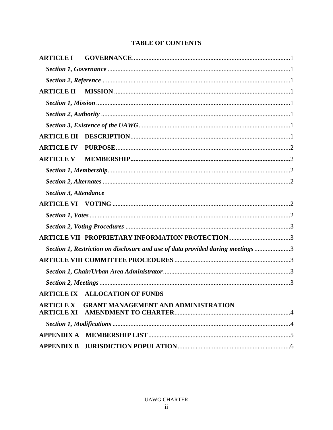## **TABLE OF CONTENTS**

| <b>ARTICLE III</b>           |                                                                                 |  |
|------------------------------|---------------------------------------------------------------------------------|--|
| <b>ARTICLE IV</b>            |                                                                                 |  |
| <b>ARTICLE V</b>             |                                                                                 |  |
|                              |                                                                                 |  |
|                              |                                                                                 |  |
| <b>Section 3, Attendance</b> |                                                                                 |  |
|                              |                                                                                 |  |
|                              |                                                                                 |  |
|                              |                                                                                 |  |
|                              | <b>ARTICLE VII PROPRIETARY INFORMATION PROTECTION3</b>                          |  |
|                              | Section 1, Restriction on disclosure and use of data provided during meetings 3 |  |
|                              |                                                                                 |  |
|                              |                                                                                 |  |
|                              |                                                                                 |  |
|                              | <b>ARTICLE IX ALLOCATION OF FUNDS</b>                                           |  |
|                              | ARTICLE X GRANT MANAGEMENT AND ADMINISTRATION                                   |  |
|                              |                                                                                 |  |
|                              |                                                                                 |  |
|                              |                                                                                 |  |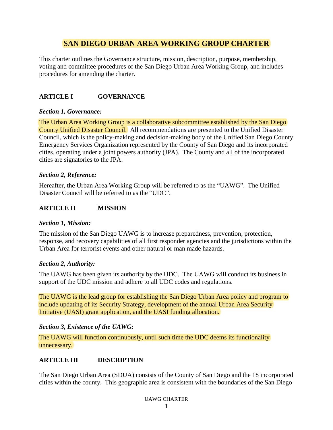## **SAN DIEGO URBAN AREA WORKING GROUP CHARTER**

This charter outlines the Governance structure, mission, description, purpose, membership, voting and committee procedures of the San Diego Urban Area Working Group, and includes procedures for amending the charter.

## **ARTICLE I GOVERNANCE**

#### *Section 1, Governance:*

The Urban Area Working Group is a collaborative subcommittee established by the San Diego County Unified Disaster Council. All recommendations are presented to the Unified Disaster Council, which is the policy-making and decision-making body of the Unified San Diego County Emergency Services Organization represented by the County of San Diego and its incorporated cities, operating under a joint powers authority (JPA). The County and all of the incorporated cities are signatories to the JPA.

### *Section 2, Reference:*

Hereafter, the Urban Area Working Group will be referred to as the "UAWG". The Unified Disaster Council will be referred to as the "UDC".

## **ARTICLE II MISSION**

#### *Section 1, Mission:*

The mission of the San Diego UAWG is to increase preparedness, prevention, protection, response, and recovery capabilities of all first responder agencies and the jurisdictions within the Urban Area for terrorist events and other natural or man made hazards.

#### *Section 2, Authority:*

The UAWG has been given its authority by the UDC. The UAWG will conduct its business in support of the UDC mission and adhere to all UDC codes and regulations.

The UAWG is the lead group for establishing the San Diego Urban Area policy and program to include updating of its Security Strategy, development of the annual Urban Area Security Initiative (UASI) grant application, and the UASI funding allocation.

## *Section 3, Existence of the UAWG:*

The UAWG will function continuously, until such time the UDC deems its functionality unnecessary.

## **ARTICLE III DESCRIPTION**

The San Diego Urban Area (SDUA) consists of the County of San Diego and the 18 incorporated cities within the county. This geographic area is consistent with the boundaries of the San Diego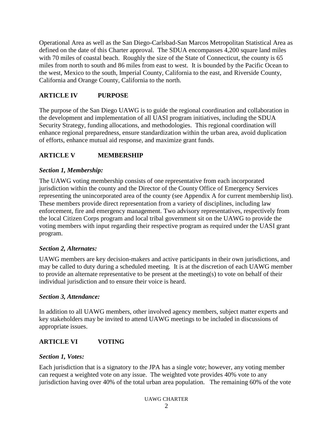Operational Area as well as the San Diego-Carlsbad-San Marcos Metropolitan Statistical Area as defined on the date of this Charter approval. The SDUA encompasses 4,200 square land miles with 70 miles of coastal beach. Roughly the size of the State of Connecticut, the county is 65 miles from north to south and 86 miles from east to west. It is bounded by the Pacific Ocean to the west, Mexico to the south, Imperial County, California to the east, and Riverside County, California and Orange County, California to the north.

## **ARTICLE IV PURPOSE**

The purpose of the San Diego UAWG is to guide the regional coordination and collaboration in the development and implementation of all UASI program initiatives, including the SDUA Security Strategy, funding allocations, and methodologies. This regional coordination will enhance regional preparedness, ensure standardization within the urban area, avoid duplication of efforts, enhance mutual aid response, and maximize grant funds.

## **ARTICLE V MEMBERSHIP**

### *Section 1, Membership:*

The UAWG voting membership consists of one representative from each incorporated jurisdiction within the county and the Director of the County Office of Emergency Services representing the unincorporated area of the county (see Appendix A for current membership list). These members provide direct representation from a variety of disciplines, including law enforcement, fire and emergency management. Two advisory representatives, respectively from the local Citizen Corps program and local tribal government sit on the UAWG to provide the voting members with input regarding their respective program as required under the UASI grant program.

#### *Section 2, Alternates:*

UAWG members are key decision-makers and active participants in their own jurisdictions, and may be called to duty during a scheduled meeting. It is at the discretion of each UAWG member to provide an alternate representative to be present at the meeting(s) to vote on behalf of their individual jurisdiction and to ensure their voice is heard.

#### *Section 3, Attendance:*

In addition to all UAWG members, other involved agency members, subject matter experts and key stakeholders may be invited to attend UAWG meetings to be included in discussions of appropriate issues.

## **ARTICLE VI VOTING**

#### *Section 1, Votes:*

Each jurisdiction that is a signatory to the JPA has a single vote; however, any voting member can request a weighted vote on any issue. The weighted vote provides 40% vote to any jurisdiction having over 40% of the total urban area population. The remaining 60% of the vote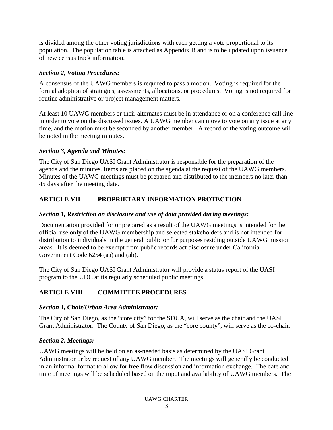is divided among the other voting jurisdictions with each getting a vote proportional to its population. The population table is attached as Appendix B and is to be updated upon issuance of new census track information.

### *Section 2, Voting Procedures:*

A consensus of the UAWG members is required to pass a motion. Voting is required for the formal adoption of strategies, assessments, allocations, or procedures. Voting is not required for routine administrative or project management matters.

At least 10 UAWG members or their alternates must be in attendance or on a conference call line in order to vote on the discussed issues. A UAWG member can move to vote on any issue at any time, and the motion must be seconded by another member. A record of the voting outcome will be noted in the meeting minutes.

## *Section 3, Agenda and Minutes:*

The City of San Diego UASI Grant Administrator is responsible for the preparation of the agenda and the minutes. Items are placed on the agenda at the request of the UAWG members. Minutes of the UAWG meetings must be prepared and distributed to the members no later than 45 days after the meeting date.

## **ARTICLE VII PROPRIETARY INFORMATION PROTECTION**

### *Section 1, Restriction on disclosure and use of data provided during meetings:*

Documentation provided for or prepared as a result of the UAWG meetings is intended for the official use only of the UAWG membership and selected stakeholders and is not intended for distribution to individuals in the general public or for purposes residing outside UAWG mission areas. It is deemed to be exempt from public records act disclosure under California Government Code 6254 (aa) and (ab).

The City of San Diego UASI Grant Administrator will provide a status report of the UASI program to the UDC at its regularly scheduled public meetings.

## **ARTICLE VIII COMMITTEE PROCEDURES**

## *Section 1, Chair/Urban Area Administrator:*

The City of San Diego, as the "core city" for the SDUA, will serve as the chair and the UASI Grant Administrator. The County of San Diego, as the "core county", will serve as the co-chair.

## *Section 2, Meetings:*

UAWG meetings will be held on an as-needed basis as determined by the UASI Grant Administrator or by request of any UAWG member. The meetings will generally be conducted in an informal format to allow for free flow discussion and information exchange. The date and time of meetings will be scheduled based on the input and availability of UAWG members. The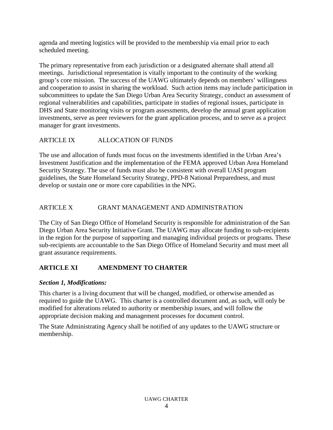agenda and meeting logistics will be provided to the membership via email prior to each scheduled meeting.

The primary representative from each jurisdiction or a designated alternate shall attend all meetings. Jurisdictional representation is vitally important to the continuity of the working group's core mission. The success of the UAWG ultimately depends on members' willingness and cooperation to assist in sharing the workload. Such action items may include participation in subcommittees to update the San Diego Urban Area Security Strategy, conduct an assessment of regional vulnerabilities and capabilities, participate in studies of regional issues, participate in DHS and State monitoring visits or program assessments, develop the annual grant application investments, serve as peer reviewers for the grant application process, and to serve as a project manager for grant investments.

## ARTICLE IX ALLOCATION OF FUNDS

The use and allocation of funds must focus on the investments identified in the Urban Area's Investment Justification and the implementation of the FEMA approved Urban Area Homeland Security Strategy. The use of funds must also be consistent with overall UASI program guidelines, the State Homeland Security Strategy, PPD-8 National Preparedness, and must develop or sustain one or more core capabilities in the NPG.

## ARTICLE X GRANT MANAGEMENT AND ADMINISTRATION

The City of San Diego Office of Homeland Security is responsible for administration of the San Diego Urban Area Security Initiative Grant. The UAWG may allocate funding to sub-recipients in the region for the purpose of supporting and managing individual projects or programs. These sub-recipients are accountable to the San Diego Office of Homeland Security and must meet all grant assurance requirements.

## **ARTICLE XI AMENDMENT TO CHARTER**

#### *Section 1, Modifications:*

This charter is a living document that will be changed, modified, or otherwise amended as required to guide the UAWG. This charter is a controlled document and, as such, will only be modified for alterations related to authority or membership issues, and will follow the appropriate decision making and management processes for document control.

The State Administrating Agency shall be notified of any updates to the UAWG structure or membership.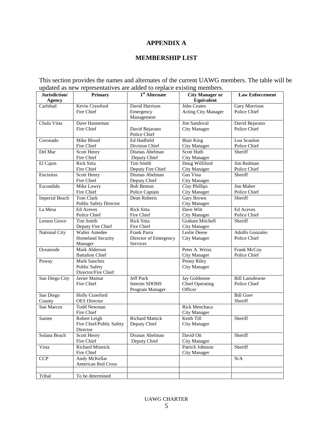## **APPENDIX A**

#### **MEMBERSHIP LIST**

This section provides the names and alternates of the current UAWG members. The table will be updated as new representatives are added to replace existing members.

| Jurisdiction/         | <b>Primary</b>                | $1st$ Alternate        | <b>City Manager or</b>     | <b>Law Enforcement</b> |
|-----------------------|-------------------------------|------------------------|----------------------------|------------------------|
| Agency                |                               |                        | Equivalent                 |                        |
| Carlsbad              | Kevin Crawford                | David Harrison         | <b>John Coates</b>         | Gary Morrison          |
|                       | Fire Chief                    | Emergency              | <b>Acting City Manager</b> | Police Chief           |
|                       |                               | Management             |                            |                        |
| Chula Vista           | Dave Hanneman                 |                        | Jim Sandoval               | David Bejarano         |
|                       | Fire Chief                    | David Bejarano         | <b>City Manager</b>        | Police Chief           |
|                       |                               | Police Chief           |                            |                        |
| Coronado              | Mike Blood                    | Ed Hadfield            | <b>Blair King</b>          | Lou Scanlon            |
|                       | Fire Chief                    | Division Chief         | <b>City Manager</b>        | Police Chief           |
| Del Mar               | Scott Henry                   | Dismas Abelman         | Scott Huth                 | Sheriff                |
|                       | Fire Chief                    | Deputy Chief           | <b>City Manager</b>        |                        |
| El Cajon              | <b>Rick Sitta</b>             | <b>Tim Smith</b>       | Doug Williford             | Jim Redman             |
|                       | Fire Chief                    | Deputy Fire Chief      | <b>City Manager</b>        | Police Chief           |
| Encinitas             | Scott Henry                   | Dismas Abelman         | Gus Vina                   | Sheriff                |
|                       | Fire Chief                    | Deputy Chief           | City Manager               |                        |
| Escondido             | Mike Lowry                    | <b>Bob Benton</b>      | <b>Clay Phillips</b>       | Jim Maher              |
|                       | Fire Chief                    | Police Captain         | <b>City Manager</b>        | Police Chief           |
| <b>Imperial Beach</b> | Tom Clark                     | Dean Roberts           | Gary Brown                 | Sheriff                |
|                       | <b>Public Safety Director</b> |                        | City Manager               |                        |
| La Mesa               | <b>Ed Aceves</b>              | <b>Rick Sitta</b>      | Dave Witt                  | Ed Aceves              |
|                       | Police Chief                  | Fire Chief             | City Manager               | Police Chief           |
| Lemon Grove           | <b>Tim Smith</b>              | <b>Rick Sitta</b>      | Graham Mitchell            | Sheriff                |
|                       | Deputy Fire Chief             | Fire Chief             | City Manager               |                        |
| National City         | <b>Walter Amedee</b>          | Frank Parra            | Leslie Deese               | <b>Adolfo Gonzales</b> |
|                       | Homeland Security             | Director of Emergency  | <b>City Manager</b>        | Police Chief           |
|                       | Manager                       | Services               |                            |                        |
| Oceanside             | <b>Mark Alderson</b>          |                        | Peter A. Weiss             | Frank McCoy            |
|                       | <b>Battalion Chief</b>        |                        | City Manager               | Police Chief           |
| Poway                 | Mark Sanchez                  |                        | Penny Riley                |                        |
|                       | <b>Public Safety</b>          |                        | <b>City Manager</b>        |                        |
|                       | Director/Fire Chief           |                        |                            |                        |
| San Diego City        | Javier Mainar                 | <b>Jeff Pack</b>       | Jay Goldstone              | <b>Bill Lansdowne</b>  |
|                       | Fire Chief                    | Interim SDOHS          | <b>Chief Operating</b>     | Police Chief           |
|                       |                               | Program Manager        | Officer                    |                        |
| San Diego             | Holly Crawford                |                        |                            | <b>Bill Gore</b>       |
| County                | <b>OES</b> Director           |                        |                            | Sheriff                |
| San Marcos            | <b>Todd Newman</b>            |                        | <b>Rick Menchaca</b>       |                        |
|                       | Fire Chief                    |                        | <b>City Manager</b>        |                        |
| Santee                | Robert Leigh                  | <b>Richard Mattick</b> | Keith Till                 | Sheriff                |
|                       | Fire Chief/Public Safety      | Deputy Chief           | City Manager               |                        |
|                       | Director                      |                        |                            |                        |
| Solana Beach          | Scott Henry                   | Dismas Abelman         | David Ott                  | Sheriff                |
|                       | Fire Chief                    | Deputy Chief           | <b>City Manager</b>        |                        |
| Vista                 | <b>Richard Minnick</b>        |                        | Patrick Johnson            | Sheriff                |
|                       | Fire Chief                    |                        | City Manager               |                        |
| <b>CCP</b>            | Andy McKellar                 |                        |                            | $\rm N/A$              |
|                       | American Red Cross            |                        |                            |                        |
|                       |                               |                        |                            |                        |
| Tribal                | To be determined              |                        |                            |                        |